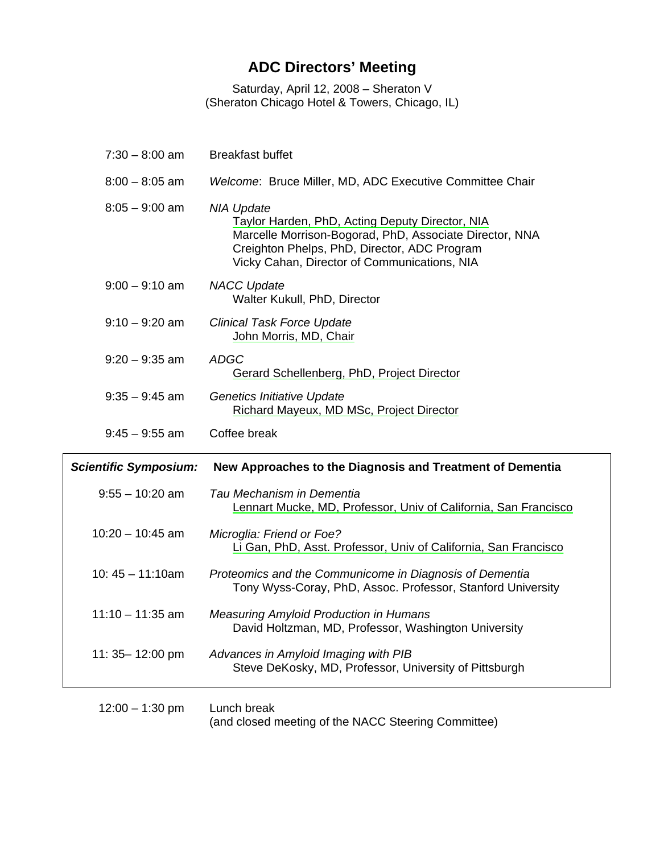## **ADC Directors' Meeting**

Saturday, April 12, 2008 – Sheraton V (Sheraton Chicago Hotel & Towers, Chicago, IL)

| $7:30 - 8:00$ am             | <b>Breakfast buffet</b>                                                                                                                                                                                                         |
|------------------------------|---------------------------------------------------------------------------------------------------------------------------------------------------------------------------------------------------------------------------------|
| $8:00 - 8:05$ am             | Welcome: Bruce Miller, MD, ADC Executive Committee Chair                                                                                                                                                                        |
| $8:05 - 9:00$ am             | <b>NIA Update</b><br>Taylor Harden, PhD, Acting Deputy Director, NIA<br>Marcelle Morrison-Bogorad, PhD, Associate Director, NNA<br>Creighton Phelps, PhD, Director, ADC Program<br>Vicky Cahan, Director of Communications, NIA |
| $9:00 - 9:10$ am             | <b>NACC Update</b><br>Walter Kukull, PhD, Director                                                                                                                                                                              |
| $9:10 - 9:20$ am             | <b>Clinical Task Force Update</b><br>John Morris, MD, Chair                                                                                                                                                                     |
| $9:20 - 9:35$ am             | <b>ADGC</b><br>Gerard Schellenberg, PhD, Project Director                                                                                                                                                                       |
| $9:35 - 9:45$ am             | Genetics Initiative Update<br>Richard Mayeux, MD MSc, Project Director                                                                                                                                                          |
| $9:45 - 9:55$ am             | Coffee break                                                                                                                                                                                                                    |
|                              |                                                                                                                                                                                                                                 |
| <b>Scientific Symposium:</b> | New Approaches to the Diagnosis and Treatment of Dementia                                                                                                                                                                       |
| $9:55 - 10:20$ am            | Tau Mechanism in Dementia<br>Lennart Mucke, MD, Professor, Univ of California, San Francisco                                                                                                                                    |
| $10:20 - 10:45$ am           | Microglia: Friend or Foe?<br>Li Gan, PhD, Asst. Professor, Univ of California, San Francisco                                                                                                                                    |
| $10:45 - 11:10am$            | Proteomics and the Communicome in Diagnosis of Dementia<br>Tony Wyss-Coray, PhD, Assoc. Professor, Stanford University                                                                                                          |
| $11:10 - 11:35$ am           | <b>Measuring Amyloid Production in Humans</b><br>David Holtzman, MD, Professor, Washington University                                                                                                                           |
| 11: 35-12:00 pm              | Advances in Amyloid Imaging with PIB<br>Steve DeKosky, MD, Professor, University of Pittsburgh                                                                                                                                  |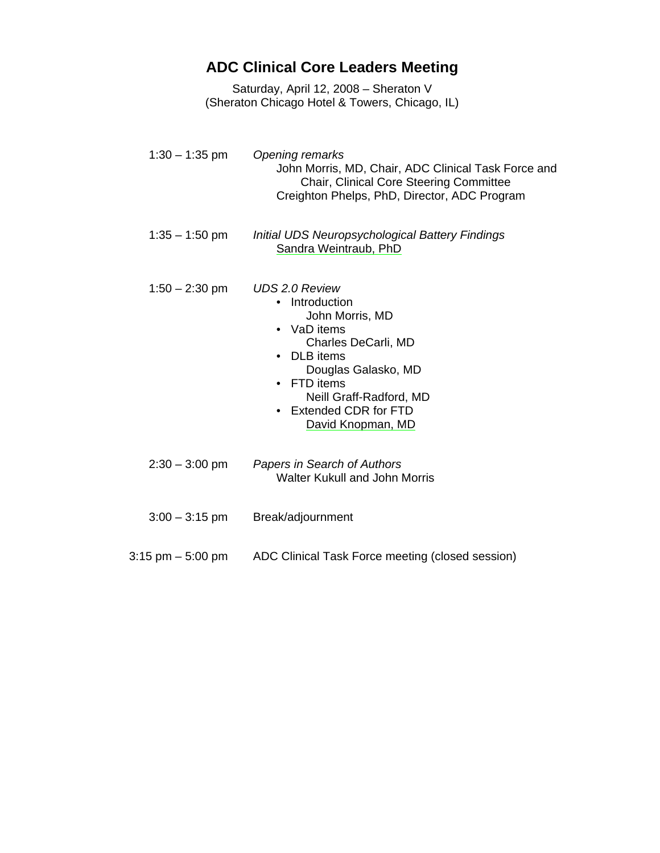## **ADC Clinical Core Leaders Meeting**

Saturday, April 12, 2008 – Sheraton V (Sheraton Chicago Hotel & Towers, Chicago, IL)

1:30 – 1:35 pm *Opening remarks* John Morris, MD, Chair, ADC Clinical Task Force and Chair, Clinical Core Steering Committee Creighton Phelps, PhD, Director, ADC Program 1:35 – 1:50 pm *Initial UDS Neuropsychological Battery Findings*  Sandra Weintraub, PhD 1:50 – 2:30 pm *UDS 2.0 Review*  • Introduction John Morris, MD • VaD items Charles DeCarli, MD • DLB items Douglas Galasko, MD • FTD items Neill Graff-Radford, MD • Extended CDR for FTD David Knopman, MD 2:30 – 3:00 pm *Papers in Search of Authors*  Walter Kukull and John Morris 3:00 – 3:15 pm Break/adjournment 3:15 pm – 5:00 pm ADC Clinical Task Force meeting (closed session)